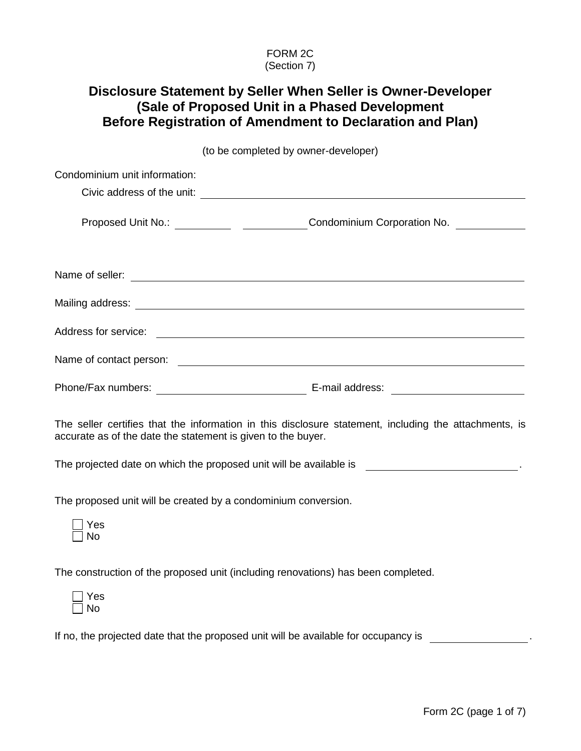### FORM 2C (Section 7)

# **Disclosure Statement by Seller When Seller is Owner-Developer (Sale of Proposed Unit in a Phased Development Before Registration of Amendment to Declaration and Plan)**

(to be completed by owner-developer)

| Condominium unit information: |                             |
|-------------------------------|-----------------------------|
|                               |                             |
|                               | Condominium Corporation No. |
|                               |                             |
|                               |                             |
| Address for service:          |                             |
| Name of contact person:       |                             |
| Phone/Fax numbers:            | E-mail address:             |

The seller certifies that the information in this disclosure statement, including the attachments, is accurate as of the date the statement is given to the buyer.

The projected date on which the proposed unit will be available is .

The proposed unit will be created by a condominium conversion.

| ÷<br>۔ |
|--------|
| ጎ      |

The construction of the proposed unit (including renovations) has been completed.

| ⊏<br>÷ |
|--------|
| n      |

If no, the projected date that the proposed unit will be available for occupancy is .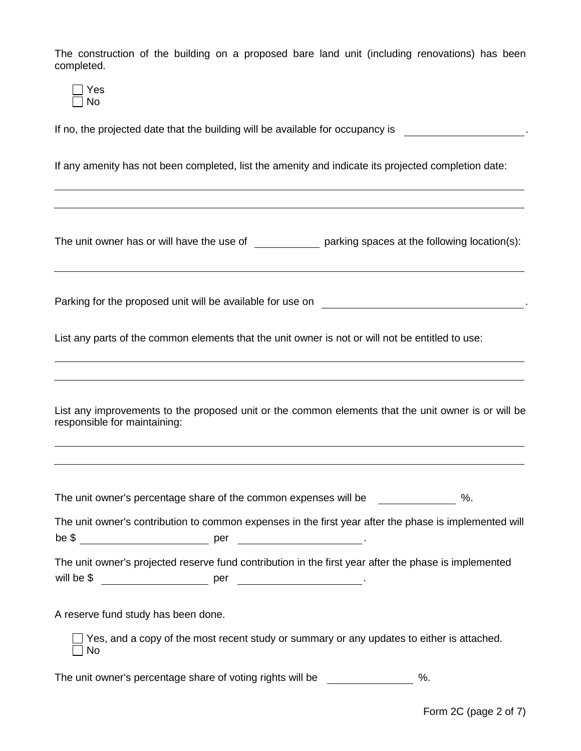The construction of the building on a proposed bare land unit (including renovations) has been completed.

| ר |
|---|

If no, the projected date that the building will be available for occupancy is .

If any amenity has not been completed, list the amenity and indicate its projected completion date:

The unit owner has or will have the use of  $\rule{1em}{0.15mm}$  parking spaces at the following location(s):

Parking for the proposed unit will be available for use on .

List any parts of the common elements that the unit owner is not or will not be entitled to use:

List any improvements to the proposed unit or the common elements that the unit owner is or will be responsible for maintaining:

The unit owner's percentage share of the common expenses will be  $\%$ .

The unit owner's contribution to common expenses in the first year after the phase is implemented will be \$ per .

|            |     | The unit owner's projected reserve fund contribution in the first year after the phase is implemented |
|------------|-----|-------------------------------------------------------------------------------------------------------|
| will be \$ | per |                                                                                                       |

A reserve fund study has been done.

 $\Box$  Yes, and a copy of the most recent study or summary or any updates to either is attached.  $\Box$  No

The unit owner's percentage share of voting rights will be \_\_\_\_\_\_\_\_\_\_\_\_\_\_ %.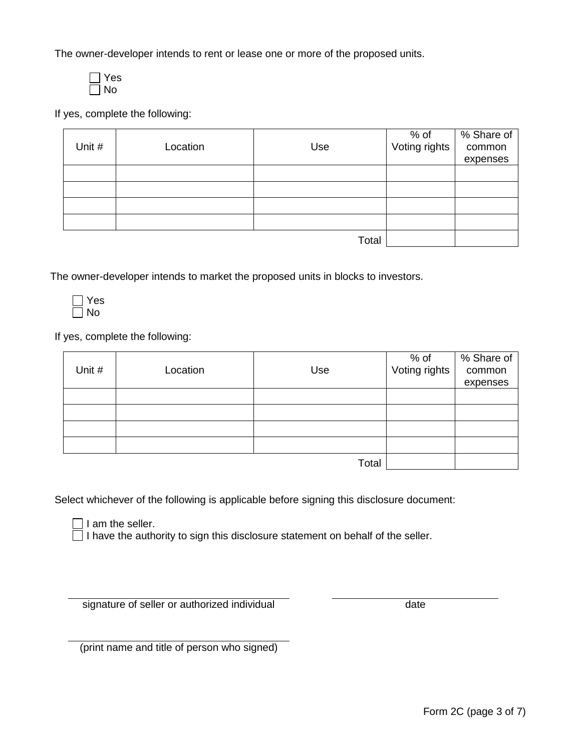The owner-developer intends to rent or lease one or more of the proposed units.

Yes No

If yes, complete the following:

| Unit # | Location | Use   | % of<br>Voting rights | % Share of<br>common<br>expenses |
|--------|----------|-------|-----------------------|----------------------------------|
|        |          |       |                       |                                  |
|        |          |       |                       |                                  |
|        |          |       |                       |                                  |
|        |          |       |                       |                                  |
|        |          | Total |                       |                                  |

The owner-developer intends to market the proposed units in blocks to investors.

Yes No

If yes, complete the following:

| Unit # | Location | Use   | % of<br>Voting rights | % Share of<br>common<br>expenses |
|--------|----------|-------|-----------------------|----------------------------------|
|        |          |       |                       |                                  |
|        |          |       |                       |                                  |
|        |          |       |                       |                                  |
|        |          |       |                       |                                  |
|        |          | Total |                       |                                  |

Select whichever of the following is applicable before signing this disclosure document:

 $\Box$  I am the seller.

 $\Box$  I have the authority to sign this disclosure statement on behalf of the seller.

signature of seller or authorized individual date

(print name and title of person who signed)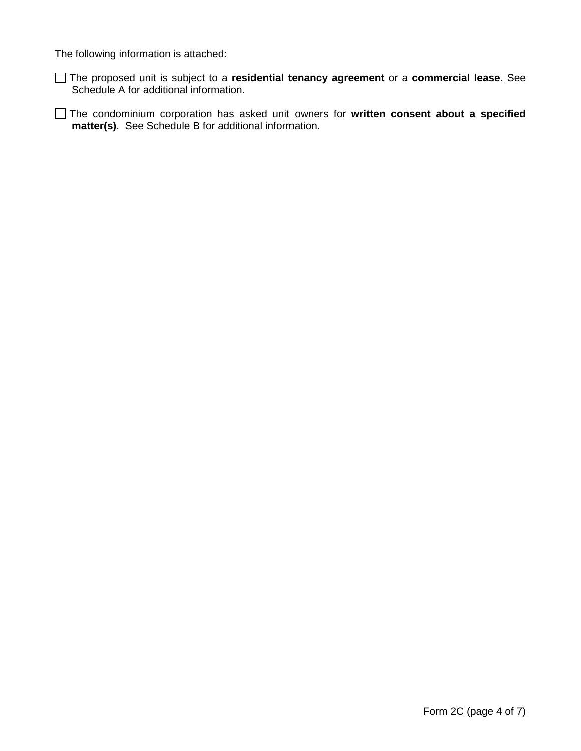The following information is attached:

The proposed unit is subject to a **residential tenancy agreement** or a **commercial lease**. See Schedule A for additional information.

The condominium corporation has asked unit owners for **written consent about a specified matter(s)**. See Schedule B for additional information.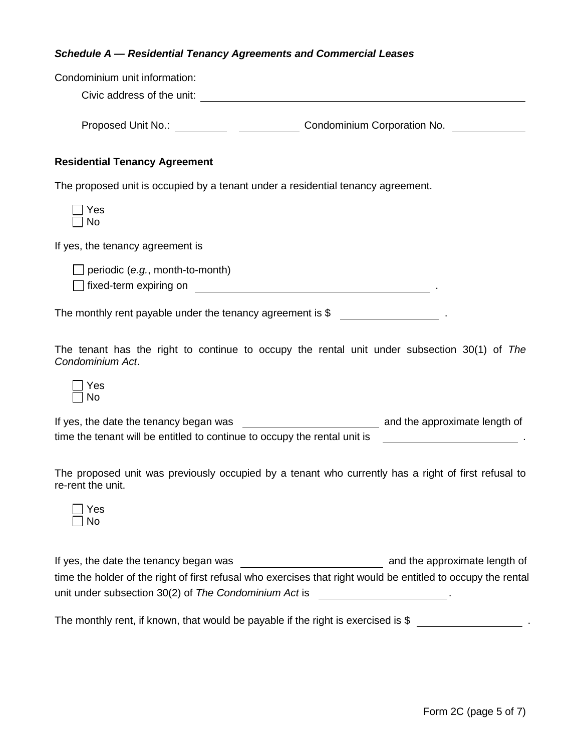#### *Schedule A — Residential Tenancy Agreements and Commercial Leases*

| Condominium unit information:                              |                                                                                  |  |
|------------------------------------------------------------|----------------------------------------------------------------------------------|--|
| Civic address of the unit:                                 |                                                                                  |  |
|                                                            | <b>Condominium Corporation No.</b>                                               |  |
| <b>Residential Tenancy Agreement</b>                       |                                                                                  |  |
|                                                            | The proposed unit is occupied by a tenant under a residential tenancy agreement. |  |
| Yes<br>No.                                                 |                                                                                  |  |
| If yes, the tenancy agreement is                           |                                                                                  |  |
| periodic (e.g., month-to-month)                            |                                                                                  |  |
|                                                            |                                                                                  |  |
| The monthly rent payable under the tenancy agreement is \$ |                                                                                  |  |

The tenant has the right to continue to occupy the rental unit under subsection 30(1) of *The Condominium Act*.

| es      |
|---------|
| ٩ľ<br>n |

| If yes, the date the tenancy began was                                    | and the approximate length of |
|---------------------------------------------------------------------------|-------------------------------|
| time the tenant will be entitled to continue to occupy the rental unit is |                               |

The proposed unit was previously occupied by a tenant who currently has a right of first refusal to re-rent the unit.

| Yes |
|-----|
| Nη  |

If yes, the date the tenancy began was and the approximate length of time the holder of the right of first refusal who exercises that right would be entitled to occupy the rental unit under subsection 30(2) of *The Condominium Act* is .

The monthly rent, if known, that would be payable if the right is exercised is \$ .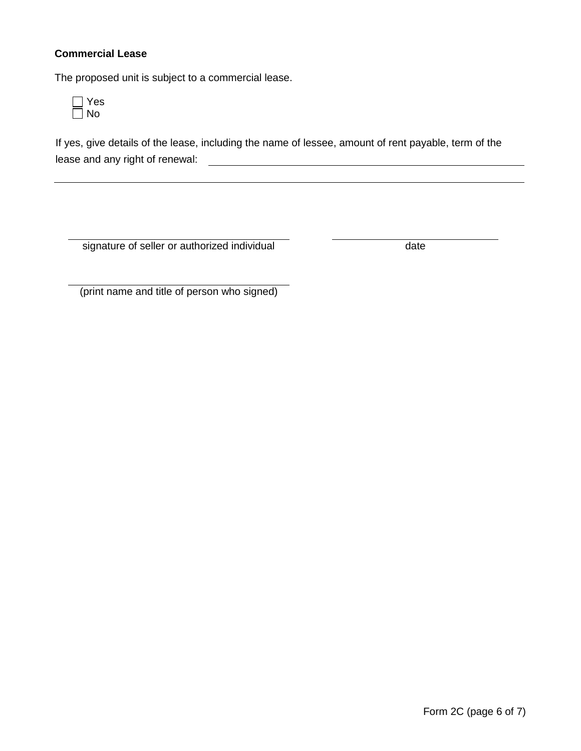## **Commercial Lease**

The proposed unit is subject to a commercial lease.



If yes, give details of the lease, including the name of lessee, amount of rent payable, term of the lease and any right of renewal:

signature of seller or authorized individual date

(print name and title of person who signed)